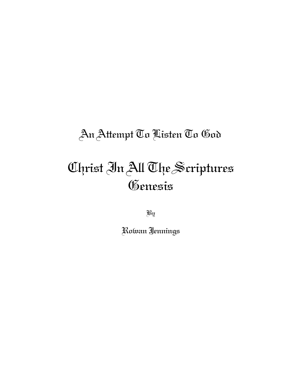# An Attempt To Listen To God

# Christ In All The Scriptures Genesis

By

Rowan Jennings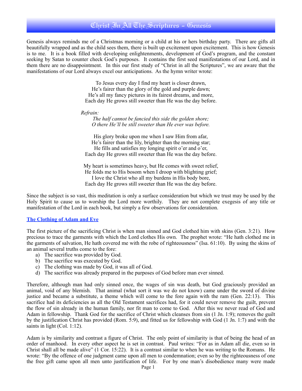## Christ In All The Scriptures - Genesis

Genesis always reminds me of a Christmas morning or a child at his or hers birthday party. There are gifts all beautifully wrapped and as the child sees them, there is built up excitement upon excitement. This is how Genesis is to me. It is a book filled with developing enlightenments, development of God's program, and the constant seeking by Satan to counter check God's purposes. It contains the first seed manifestations of our Lord, and in them there are no disappointment. In this our first study of "Christ in all the Scriptures", we are aware that the manifestations of our Lord always excel our anticipations. As the hymn writer wrote:

> To Jesus every day I find my heart is closer drawn, He's fairer than the glory of the gold and purple dawn; He's all my fancy pictures in its fairest dreams, and more, Each day He grows still sweeter than He was the day before.

 *Refrain:*

*The half cannot be fancied this side the golden shore; O there He'll be still sweeter than He ever was before.*

His glory broke upon me when I saw Him from afar, He's fairer than the lily, brighter than the morning star; He fills and satisfies my longing spirit o'er and o'er, Each day He grows still sweeter than He was the day before.

My heart is sometimes heavy, but He comes with sweet relief, He folds me to His bosom when I droop with blighting grief; I love the Christ who all my burdens in His body bore, Each day He grows still sweeter than He was the day before.

Since the subject is so vast, this meditation is only a surface consideration but which we trust may be used by the Holy Spirit to cause us to worship the Lord more worthily. They are not complete exegesis of any title or manifestation of the Lord in each book, but simply a few observations for consideration.

#### **The Clothing of Adam and Eve**

The first picture of the sacrificing Christ is when man sinned and God clothed him with skins (Gen. 3:21). How precious to trace the garments with which the Lord clothes His own. The prophet wrote: "He hath clothed me in the garments of salvation, He hath covered me with the robe of righteousness" (Isa. 61:10). By using the skins of an animal several truths come to the fore:

- a) The sacrifice was provided by God.
- b) The sacrifice was executed by God.
- c) The clothing was made by God, it was all of God.
- d) The sacrifice was already prepared in the purposes of God before man ever sinned.

Therefore, although man had only sinned once, the wages of sin was death, but God graciously provided an animal, void of any blemish. That animal (what sort it was we do not know) came under the sword of divine justice and became a substitute, a theme which will come to the fore again with the ram (Gen. 22:13). This sacrifice had its deficiencies as all the Old Testament sacrifices had, for it could never remove the guilt, prevent the flow of sin already in the human family, nor fit man to come to God. After this we never read of God and Adam in fellowship. Thank God for the sacrifice of Christ which cleanses from sin (1 Jn. 1:9); removes the guilt by the justification Christ has provided (Rom. 5:9), and fitted us for fellowship with God (1 Jn. 1:7) and with the saints in light (Col. 1:12).

Adam is by similarity and contrast a figure of Christ. The only point of similarity is that of being the head of an order of manhood. In every other aspect he is set in contrast. Paul writes: "For as in Adam all die, even so in Christ shall all be made alive" (1 Cor. 15:22). It is a contrast similar to when he was writing to the Romans. He wrote: "By the offence of one judgment came upon all men to condemnation; even so by the righteousness of one the free gift came upon all men unto justification of life. For by one man's disobedience many were made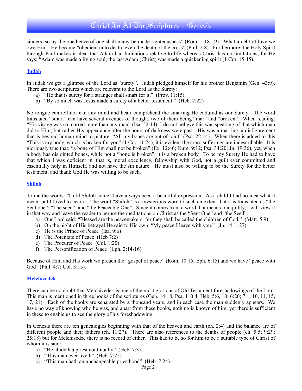## Christ In All The Scriptures - Genesis

sinners, so by the obedience of one shall many be made righteousness" (Rom. 5:18-19). What a debt of love we owe Him. He became "obedient unto death, even the death of the cross" (Phil. 2:8). Furthermore, the Holy Spirit through Paul makes it clear that Adam had limitations relative to life whereas Christ has no limitations, for He says: "Adam was made a living soul; the last Adam (Christ) was made a quickening spirit (1 Cor. 15:45).

#### **Judah**

In Judah we get a glimpse of the Lord as "surety". Judah pledged himself for his brother Benjamin (Gen. 43:9). There are two scriptures which are relevant to the Lord as the Surety:

- a) "He that is surety for a stranger shall smart for it." (Prov. 11:15)
- b) "By so much was Jesus made a surety of a better testament." (Heb. 7:22)

No tongue can tell nor can any mind and heart comprehend the smarting He endured as our Surety. The word translated "smart" can have several avenues of thought, two of them being "mar" and "broken". When reading: "His visage was so marred more than any man" (Isa. 52:14), I do not believe this was speaking of that which man did to Him, but rather His appearance after the hours of darkness were past. His was a marring, a disfigurement that is beyond human mind to picture: "All my bones are out of joint" (Psa. 22:14). When there is added to this "This is my body, which is broken for you"  $(1 \text{ Cor. } 11:24)$ , it is evident the cross sufferings are indescribable. It is gloriously true that: "a bone of Him shall not be broken" (Ex. 12:46; Num. 9:12; Psa. 34:20; Jn. 19:36), yet, when a body has disjointed bones, while not a "bone is broken", it is a broken body. To be my Surety He had to have that which I was deficient in, that is, moral excellency, fellowship with God, not a guilt ever committed and essentially holy in Himself, and not have the sin nature. He must also be willing to be the Surety for the better testament, and thank God He was willing to be such.

#### **Shiloh**

To me the words: "Until Shiloh come" have always been a beautiful expression. As a child I had no idea what it meant but I loved to hear it. The word "Shiloh" is a mysterious word to such an extent that it is translated as "the Sent one"; "The seed"; and "the Peaceable One". Since it comes from a word that means tranquility, I will view it in that way and leave the reader to peruse the meditations on Christ as the "Sent One" and "the Seed".

- a) Our Lord said: "Blessed are the peacemakers: for they shall be called the children of God." (Matt. 5:9)
- b) On the night of His betrayal He said to His own: "My peace I leave with you." (Jn. 14:1, 27)
- c) He is the Prince of Peace (Isa. 9:6)
- d) The Potentate of Peace (Heb 7:2)
- e) The Procurer of Peace (Col. 1:20)
- f) The Personification of Peace (Eph. 2:14-16)

Because of Him and His work we preach the "gospel of peace" (Rom. 10:15; Eph. 6:15) and we have "peace with God" (Phil. 4:7; Col. 3:15).

#### **Melchizedek**

There can be no doubt that Melchizedek is one of the most glorious of Old Testament foreshadowings of the Lord. This man is mentioned in three books of the scriptures (Gen. 14:18; Psa. 110:4; Heb. 5:6, 10; 6:20; 7:1, 10, 11, 15, 17, 21). Each of the books are separated by a thousand years, and in each case the man suddenly appears. We have no way of knowing who he was, and apart from these books, nothing is known of him, yet there is sufficient in these to enable us to see the glory of his foreshadowing.

In Genesis there are ten genealogies beginning with that of the heaven and earth (ch. 2:4) and the balance are of different people and their fathers (ch. 11:27). There are also references to the deaths of people (ch. 5:5; 9:29; 25:18) but for Melchisedec there is no record of either. This had to be so for him to be a suitable type of Christ of whom it is said:

- a) "He abideth a priest continually" (Heb. 7:3)
- b) "This man ever liveth" (Heb. 7:25)
- c) "This man hath an unchangeable priesthood" (Heb. 7:24).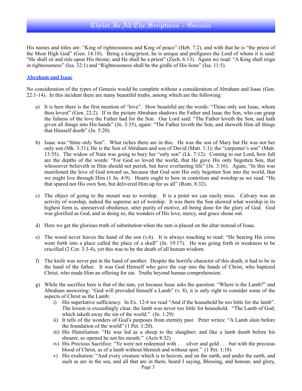His names and titles are: "King of righteousness and King of peace" (Heb. 7:2), and with that he is "the priest of the Most High God" (Gen. 14:18). Being a king/priest, he is unique and prefigures the Lord of whom it is said: "He shall sit and rule upon His throne; and He shall be a priest" (Zech. 6:13). Again we read: "A King shall reign in righteousness" (Isa. 32:1) and "Righteousness shall be the girdle of His lions" (Isa. 11:5).

#### **Abraham and Isaac**

No consideration of the types of Genesis would be complete without a consideration of Abraham and Isaac (Gen. 22:1-14). In this incident there are many beautiful truths, among which are the following:

- a) It is here there is the first mention of "love". How beautiful are the words: "Thine only son Isaac, whom thou lovest" (Gen. 22:2). If in the picture Abraham shadows the Father and Isaac the Son, who can grasp the fulness of the love the Father had for the Son. Our Lord said: "The Father loveth the Son, and hath given all things into His hands" (Jn. 3:35), again: "The Father loveth the Son, and sheweth Him all things that Himself doeth" (Jn. 5:20).
- b) Isaac was "thine only Son". What riches there are in this. He was the son of Mary but He was not her only son (Mk. 3:31); He is the Son of Abraham and son of David (Matt. 1:1); the "carpenter's son" (Matt. 13:55). The widow of Nain was going to bury her "only son" (Lk. 7:12). Coming to our Lord, how full are the depths of the words: "For God so loved the world, that He gave His only begotten Son, that whosoever believeth in Him should not perish, but have everlasting life" (Jn. 3:16). Again, "In this was manifested the love of God toward us, because that God sent His only begotten Son into the world, that we might live through Him (1 Jn. 4:9). Hearts ought to bow in contrition and worship as we read: "He that spared not His own Son, but delivered Him up for us all" (Rom. 8:32).
- c) The object of going to the mount was to worship. It is a point we can easily miss. Calvary was an activity of worship, indeed the supreme act of worship. It was there the Son showed what worship in its highest form is, unreserved obedience, utter purity of motive, all being done for the glory of God. God was glorified as God, and in doing so, the wonders of His love, mercy, and grace shone out.
- d) Here we get the glorious truth of substitution when the ram is placed on the altar instead of Isaac.
- e) The wood never leaves the hand of the son (v.6). It is always touching to read: "He bearing His cross went forth into a place called the place of a skull" (Jn. 19:17). He was going forth in weakness to be crucified (2 Cor. 3:3-4), yet this was to be the death of all human wisdom.
- f) The knife was never put in the hand of another. Despite the horrific character of this death, it had to be in the hand of the father. It was God Himself who gave the cup into the hands of Christ, who baptized Christ, who made Him an offering for sin. Truths beyond human comprehension.
- g) While the sacrifice here is that of the ram, yet because Isaac asks the question: "Where is the Lamb?" and Abraham answering: "God will provided himself a Lamb" (v. 8), it is only right to consider some of the aspects of Christ as the Lamb:
	- i) His superlative sufficiency. In Ex. 12:4 we read "And if the household be too little for the lamb". The lesson is exceedingly clear, the lamb was never too little for household. "The Lamb of God, which taketh away the sin of the world." (Jn. 1:29)
	- ii) It tells of the wonders of God's purposes from eternity past. Peter writes: "A Lamb slain before the foundation of the world"  $(1$  Pet. 1:20).
	- iii) His Humiliation: "He was led as a sheep to the slaughter; and like a lamb dumb before his shearer, so opened he not his mouth." (Acts 8:32)
	- iv) His Precious Sacrifice: "Ye were not redeemed with . . . silver and gold . . . but with the precious blood of Christ, as of a lamb without blemish and without spot." (1 Pet. 1:18)
	- v) His exaltation: "And every creature which is in heaven, and on the earth, and under the earth, and such as are in the sea, and all that are in them, heard I saying, Blessing, and honour, and glory,